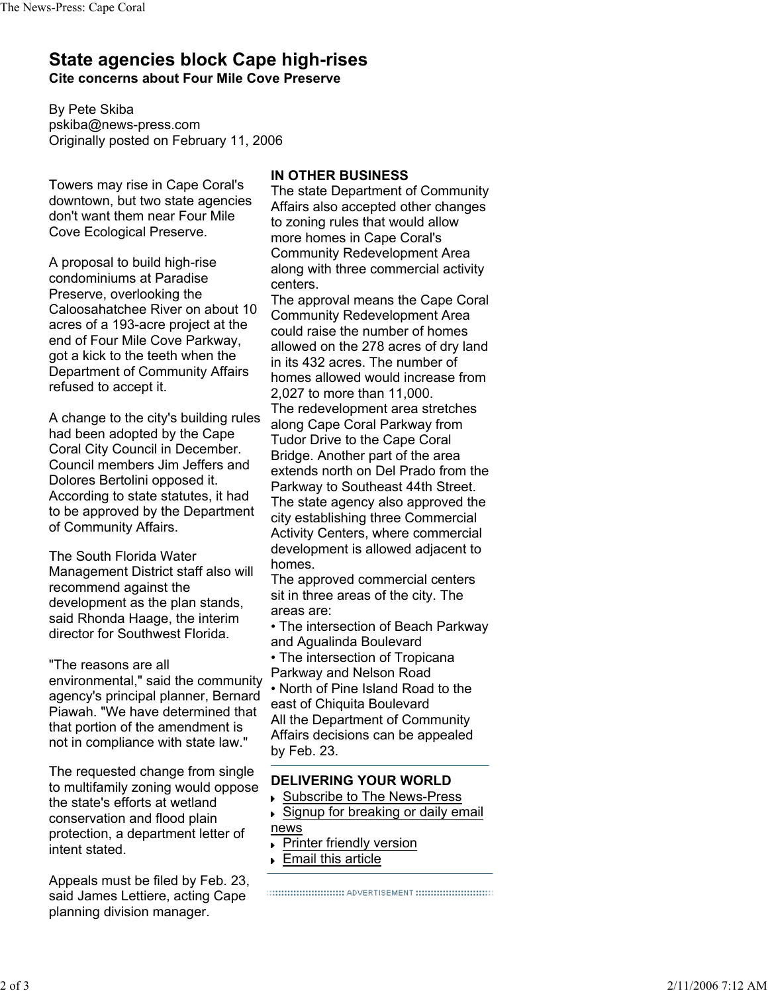## **State agencies block Cape high-rises Cite concerns about Four Mile Cove Preserve**

By Pete Skiba pskiba@news-press.com Originally posted on February 11, 2006

Towers may rise in Cape Coral's downtown, but two state agencies don't want them near Four Mile Cove Ecological Preserve.

A proposal to build high-rise condominiums at Paradise Preserve, overlooking the Caloosahatchee River on about 10 acres of a 193-acre project at the end of Four Mile Cove Parkway, got a kick to the teeth when the Department of Community Affairs refused to accept it.

A change to the city's building rules had been adopted by the Cape Coral City Council in December. Council members Jim Jeffers and Dolores Bertolini opposed it. According to state statutes, it had to be approved by the Department of Community Affairs.

The South Florida Water Management District staff also will recommend against the development as the plan stands, said Rhonda Haage, the interim director for Southwest Florida.

"The reasons are all environmental," said the community agency's principal planner, Bernard Piawah. "We have determined that that portion of the amendment is not in compliance with state law."

The requested change from single to multifamily zoning would oppose the state's efforts at wetland conservation and flood plain protection, a department letter of intent stated.

Appeals must be filed by Feb. 23, said James Lettiere, acting Cape planning division manager.

## **IN OTHER BUSINESS**

The state Department of Community Affairs also accepted other changes to zoning rules that would allow more homes in Cape Coral's Community Redevelopment Area along with three commercial activity centers.

The approval means the Cape Coral Community Redevelopment Area could raise the number of homes allowed on the 278 acres of dry land in its 432 acres. The number of homes allowed would increase from 2,027 to more than 11,000. The redevelopment area stretches along Cape Coral Parkway from Tudor Drive to the Cape Coral Bridge. Another part of the area extends north on Del Prado from the

Parkway to Southeast 44th Street. The state agency also approved the city establishing three Commercial Activity Centers, where commercial development is allowed adjacent to homes.

The approved commercial centers sit in three areas of the city. The areas are:

• The intersection of Beach Parkway and Agualinda Boulevard

• The intersection of Tropicana Parkway and Nelson Road

• North of Pine Island Road to the east of Chiquita Boulevard All the Department of Community Affairs decisions can be appealed by Feb. 23.

## **DELIVERING YOUR WORLD**

- ▶ Subscribe to The News-Press
- ▶ Signup for breaking or daily email

news

- **Printer friendly version**
- ▶ Email this article